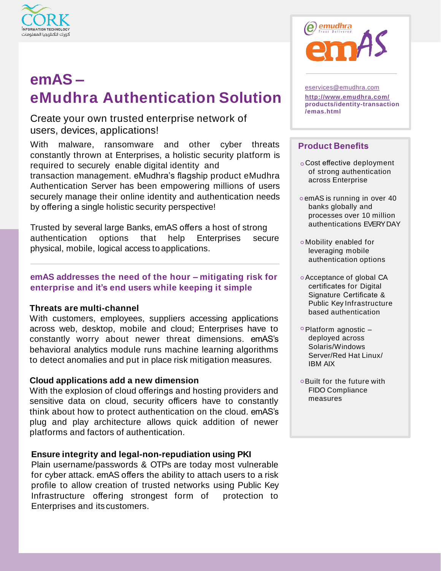

# **emAS – eMudhra Authentication Solution**

Create your own trusted enterprise network of users, devices, applications!

With malware, ransomware and other cyber threats constantly thrown at Enterprises, a holistic security platform is required to securely enable digital identity and transaction management. eMudhra's flagship product eMudhra Authentication Server has been empowering millions of users securely manage their online identity and authentication needs by offering a single holistic security perspective!

Trusted by several large Banks, emAS offers a host of strong authentication options that help Enterprises secure physical, mobile, logical access to applications.

### **emAS addresses the need of the hour – mitigating risk for enterprise and it's end users while keeping it simple**

### **Threats are multi-channel**

With customers, employees, suppliers accessing applications across web, desktop, mobile and cloud; Enterprises have to constantly worry about newer threat dimensions. emAS's behavioral analytics module runs machine learning algorithms to detect anomalies and put in place risk mitigation measures.

### **Cloud applications add a new dimension**

With the explosion of cloud offerings and hosting providers and sensitive data on cloud, security officers have to constantly think about how to protect authentication on the cloud. emAS's plug and play architecture allows quick addition of newer platforms and factors of authentication.

### **Ensure integrity and legal-non-repudiation using PKI**

Plain username/passwords & OTPs are today most vulnerable for cyber attack. emAS offers the ability to attach users to a risk profile to allow creation of trusted networks using Public Key Infrastructure offering strongest form of protection to Enterprises and its customers.



[eservices@emudhra.com](mailto:eservices@emudhra.com) **<http://www.emudhra.com/> products/identity-transaction /emas.html**

### **Product Benefits**

- Cost effective deployment of strong authentication across Enterprise
- o emAS is running in over 40 banks globally and processes over 10 million authentications EVERYDAY
- Mobility enabled for leveraging mobile authentication options
- Acceptance of global CA certificates for Digital Signature Certificate & Public Key Infrastructure based authentication
- $\circ$  Platform agnostic  $$ deployed across Solaris/Windows Server/Red Hat Linux/ IBM AIX
- Built for the future with FIDO Compliance measures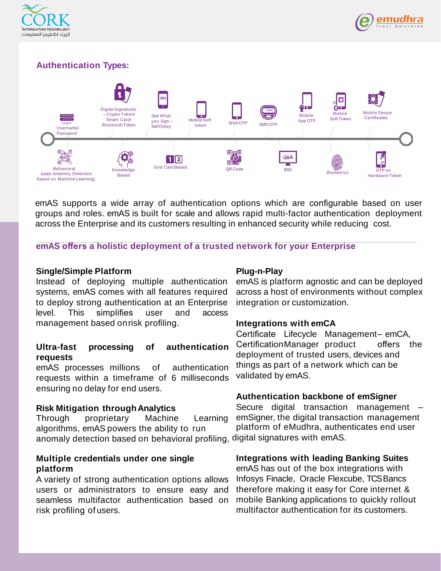



### **Authentication Types:**



emAS supports a wide array of authentication options which are configurable based on user groups and roles. emAS is built for scale and allows rapid multi-factor authentication deployment across the Enterprise and its customers resulting in enhanced security while reducing cost.

**emAS offers a holistic deployment of a trusted network for your Enterprise**

### **Single/Simple Platform**

Instead of deploying multiple authentication systems, emAS comes with all features required to deploy strong authentication at an Enterprise level. This simplifies user and access management based onrisk profiling.

### **Ultra-fast processing of authentication requests**

emAS processes millions of authentication requests within a timeframe of 6 milliseconds ensuring no delay for end users.

### **Risk Mitigation throughAnalytics**

Through proprietary Machine Learning algorithms, emAS powers the ability to run anomaly detection based on behavioral profiling, digital signatures with emAS.

### **Multiple credentials under one single platform**

A variety of strong authentication options allows users or administrators to ensure easy and seamless multifactor authentication based on risk profiling of users.

### **Plug-n-Play**

emAS is platform agnostic and can be deployed across a host of environments without complex integration or customization.

### **Integrations with emCA**

Certificate Lifecycle Management– emCA, CertificationManager product offers the deployment of trusted users, devices and things as part of a network which can be validated by emAS.

### **Authentication backbone of emSigner**

Secure digital transaction management – emSigner, the digital transaction management platform of eMudhra, authenticates end user

### **Integrations with leading Banking Suites**

emAS has out of the box integrations with Infosys Finacle, Oracle Flexcube, TCS Bancs therefore making it easy for Core internet & mobile Banking applications to quickly rollout multifactor authentication for its customers.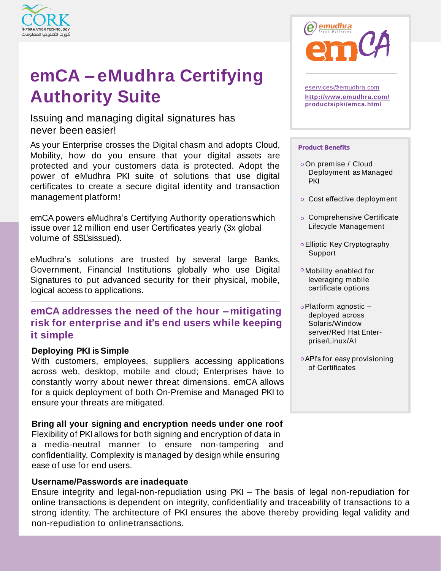

# **emCA – eMudhra Certifying Authority Suite**

Issuing and managing digital signatures has never been easier!

As your Enterprise crosses the Digital chasm and adopts Cloud, Mobility, how do you ensure that your digital assets are protected and your customers data is protected. Adopt the power of eMudhra PKI suite of solutions that use digital certificates to create a secure digital identity and transaction management platform!

emCA powers eMudhra's Certifying Authority operationswhich issue over 12 million end user Certificates yearly (3x global volume of SSL'sissued).

eMudhra's solutions are trusted by several large Banks, Government, Financial Institutions globally who use Digital Signatures to put advanced security for their physical, mobile, logical access to applications.

## **emCA addresses the need of the hour – mitigating risk for enterprise and it's end users while keeping it simple**

### **Deploying PKI isSimple**

With customers, employees, suppliers accessing applications across web, desktop, mobile and cloud; Enterprises have to constantly worry about newer threat dimensions. emCA allows for a quick deployment of both On-Premise and Managed PKI to ensure your threats are mitigated.

### **Bring all your signing and encryption needs under one roof**

Flexibility of PKI allows for both signing and encryption of data in a media-neutral manner to ensure non-tampering and confidentiality. Complexity is managed by design while ensuring ease of use for end users.

### **Username/Passwords are inadequate**

Ensure integrity and legal-non-repudiation using PKI – The basis of legal non-repudiation for online transactions is dependent on integrity, confidentiality and traceability of transactions to a strong identity. The architecture of PKI ensures the above thereby providing legal validity and non-repudiation to onlinetransactions.



[eservices@emudhra.com](mailto:eservices@emudhra.com) **<http://www.emudhra.com/> products/pki/emca.html**

#### **Product Benefits**

- On premise / Cloud Deployment as Managed **PKI**
- Cost effective deployment
- o Comprehensive Certificate Lifecycle Management
- Elliptic Key Cryptography Support
- Mobility enabled for leveraging mobile certificate options
- Platform agnostic deployed across Solaris/Window server/Red Hat Enterprise/Linux/AI
- API's for easy provisioning of Certificates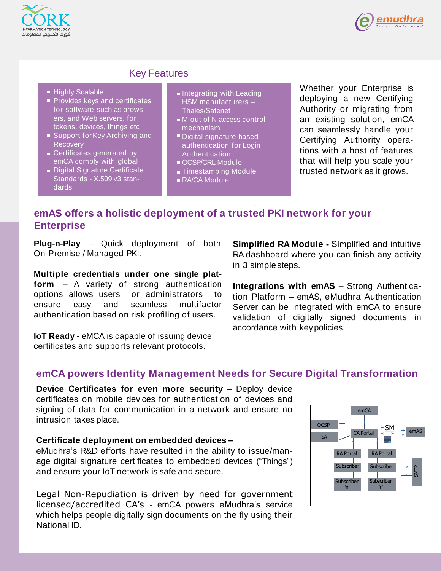



### Key Features

- Highly Scalable
- **Provides keys and certificates** for software such as browsers, and Web servers, for tokens, devices, things etc
- Support for Key Archiving and **Recovery**
- Certificates generated by emCA comply with global
- Digital Signature Certificate Standards - X.509 v3 standards
- **Integrating with Leading** HSM manufacturers – Thales/Safenet
- $\blacksquare$  M out of N access control mechanism
- Digital signature based authentication for Login **Authentication**
- OCSP/CRL Module
- Timestamping Module
- RA/CA Module

Whether your Enterprise is deploying a new Certifying Authority or migrating from an existing solution, emCA can seamlessly handle your Certifying Authority operations with a host of features that will help you scale your trusted network as it grows.

## **emAS offers a holistic deployment of a trusted PKI network for your Enterprise**

**Plug-n-Play** - Quick deployment of both On-Premise / Managed PKI.

**Multiple credentials under one single platform** – A variety of strong authentication options allows users or administrators to ensure easy and seamless multifactor authentication based on risk profiling of users.

**IoT Ready -** eMCA is capable of issuing device certificates and supports relevant protocols.

**Simplified RA Module -** Simplified and intuitive RA dashboard where you can finish any activity in 3 simplesteps.

**Integrations with emAS** – Strong Authentication Platform – emAS, eMudhra Authentication Server can be integrated with emCA to ensure validation of digitally signed documents in accordance with keypolicies.

### **emCA powers Identity Management Needs for Secure Digital Transformation**

**Device Certificates for even more security** – Deploy device certificates on mobile devices for authentication of devices and signing of data for communication in a network and ensure no intrusion takes place.

### **Certificate deployment on embedded devices –**

eMudhra's R&D efforts have resulted in the ability to issue/manage digital signature certificates to embedded devices ("Things") and ensure your IoT network is safe and secure.

Legal Non-Repudiation is driven by need for government licensed/accredited CA's - emCA powers eMudhra's service which helps people digitally sign documents on the fly using their National ID.

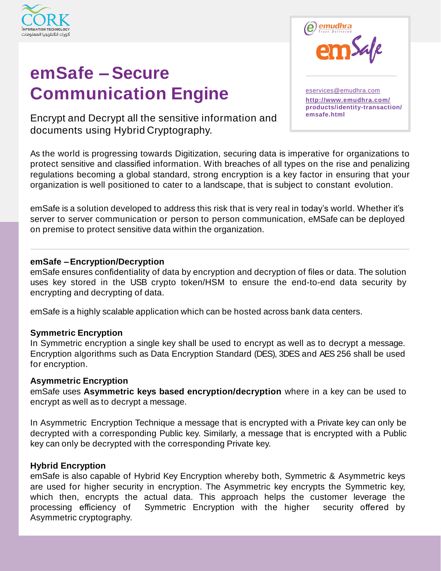

# **emSafe –Secure Communication Engine**

<sup>(emudhra</sup> Safe [eservices@emudhra.com](mailto:eservices@emudhra.com) **<http://www.emudhra.com/> products/identity-transaction/** 

**emsafe.html** Encrypt and Decrypt all the sensitive information and documents using Hybrid Cryptography.

As the world is progressing towards Digitization, securing data is imperative for organizations to protect sensitive and classified information. With breaches of all types on the rise and penalizing regulations becoming a global standard, strong encryption is a key factor in ensuring that your organization is well positioned to cater to a landscape, that is subject to constant evolution.

emSafe is a solution developed to address this risk that is very real in today's world. Whether it's server to server communication or person to person communication, eMSafe can be deployed on premise to protect sensitive data within the organization.

### **emSafe –Encryption/Decryption**

emSafe ensures confidentiality of data by encryption and decryption of files or data. The solution uses key stored in the USB crypto token/HSM to ensure the end-to-end data security by encrypting and decrypting of data.

emSafe is a highly scalable application which can be hosted across bank data centers.

### **Symmetric Encryption**

In Symmetric encryption a single key shall be used to encrypt as well as to decrypt a message. Encryption algorithms such as Data Encryption Standard (DES), 3DES and AES 256 shall be used for encryption.

### **Asymmetric Encryption**

emSafe uses **Asymmetric keys based encryption/decryption** where in a key can be used to encrypt as well as to decrypt a message.

In Asymmetric Encryption Technique a message that is encrypted with a Private key can only be decrypted with a corresponding Public key. Similarly, a message that is encrypted with a Public key can only be decrypted with the corresponding Private key.

### **Hybrid Encryption**

emSafe is also capable of Hybrid Key Encryption whereby both, Symmetric & Asymmetric keys are used for higher security in encryption. The Asymmetric key encrypts the Symmetric key, which then, encrypts the actual data. This approach helps the customer leverage the processing efficiency of Symmetric Encryption with the higher security offered by Asymmetric cryptography.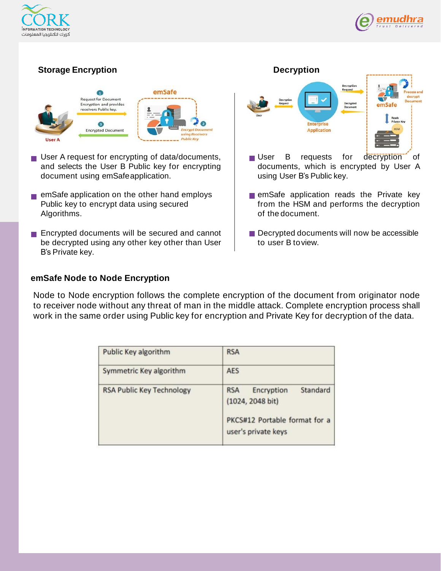



### **Storage Encryption**



- User A request for encrypting of data/documents, and selects the User B Public key for encrypting document using emSafeapplication.
- **Example application on the other hand employs** Public key to encrypt data using secured Algorithms.
- **Encrypted documents will be secured and cannot** be decrypted using any other key other than User B's Private key.

# **Decryption** Decrypt **Enterprise Application** User B requests for decryption of documents, which is encrypted by User A using User B's Public key.

- **E** emSafe application reads the Private key from the HSM and performs the decryption of the document.
- Decrypted documents will now be accessible to user B toview.

### **emSafe Node to Node Encryption**

Node to Node encryption follows the complete encryption of the document from originator node to receiver node without any threat of man in the middle attack. Complete encryption process shall work in the same order using Public key for encryption and Private Key for decryption of the data.

| Public Key algorithm             | <b>RSA</b>                                                                                                       |
|----------------------------------|------------------------------------------------------------------------------------------------------------------|
| Symmetric Key algorithm          | <b>AES</b>                                                                                                       |
| <b>RSA Public Key Technology</b> | Standard<br><b>RSA</b><br>Encryption<br>(1024, 2048 bit)<br>PKCS#12 Portable format for a<br>user's private keys |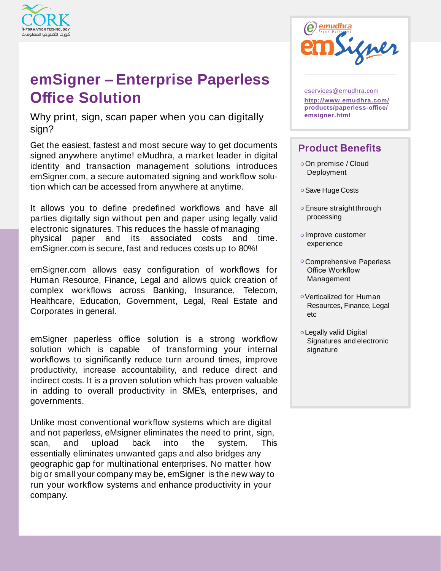

# **emSigner –Enterprise Paperless Office Solution**

Why print, sign, scan paper when you can digitally sign?

Get the easiest, fastest and most secure way to get documents signed anywhere anytime! eMudhra, a market leader in digital identity and transaction management solutions introduces emSigner.com, a secure automated signing and workflow solution which can be accessed from anywhere at anytime.

It allows you to define predefined workflows and have all parties digitally sign without pen and paper using legally valid electronic signatures. This reduces the hassle of managing physical paper and its associated costs and time. emSigner.com is secure, fast and reduces costs up to 80%!

emSigner.com allows easy configuration of workflows for Human Resource, Finance, Legal and allows quick creation of complex workflows across Banking, Insurance, Telecom, Healthcare, Education, Government, Legal, Real Estate and Corporates in general.

emSigner paperless office solution is a strong workflow solution which is capable of transforming your internal workflows to significantly reduce turn around times, improve productivity, increase accountability, and reduce direct and indirect costs. It is a proven solution which has proven valuable in adding to overall productivity in SME's, enterprises, and governments.

Unlike most conventional workflow systems which are digital and not paperless, eMsigner eliminates the need to print, sign, scan, and upload back into the system. This essentially eliminates unwanted gaps and also bridges any geographic gap for multinational enterprises. No matter how big or small your company may be, emSigner is the new way to run your workflow systems and enhance productivity in your company.



[eservices@emudhra.com](mailto:eservices@emudhra.com)

**<http://www.emudhra.com/> products/paperless-office/ emsigner.html**

## **Product Benefits**

- On premise / Cloud Deployment
- Save Huge Costs
- Ensure straightthrough processing
- o Improve customer experience
- Comprehensive Paperless Office Workflow Management
- Verticalized for Human Resources, Finance, Legal etc
- Legally valid Digital Signatures and electronic signature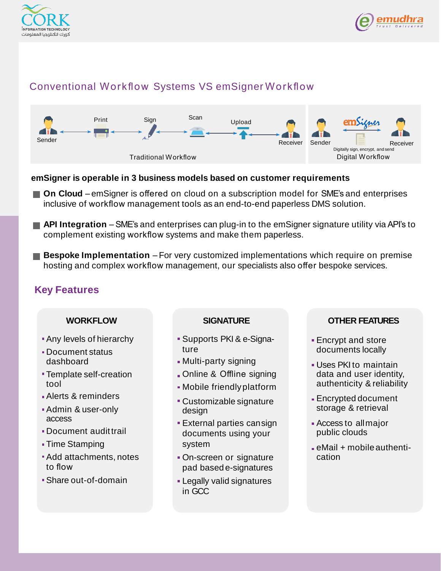



## Conventional Workflow Systems VS emSigner Workflow



### **emSigner is operable in 3 business models based on customer requirements**

- On Cloud emSigner is offered on cloud on a subscription model for SME's and enterprises inclusive of workflow management tools as an end-to-end paperless DMS solution.
- **API Integration** SME's and enterprises can plug-in to the emSigner signature utility via API's to complement existing workflow systems and make them paperless.
- **Bespoke Implementation** For very customized implementations which require on premise hosting and complex workflow management, our specialists also offer bespoke services.

### **Key Features**

### **WORKFLOW**

- Any levels of hierarchy
- Document status dashboard
- Template self-creation tool
- Alerts & reminders
- Admin & user-only access
- Document audittrail
- Time Stamping
- Add attachments, notes to flow
- Share out-of-domain

### **SIGNATURE**

- Supports PKI & e-Signature
- Multi-party signing
- Online & Offline signing
- Mobile friendlyplatform
- Customizable signature design
- External parties cansign documents using your system
- On-screen or signature pad based e-signatures
- Legally valid signatures in GCC

### **OTHER FEATURES**

- **Encrypt and store** documents locally
- Uses PKI to maintain data and user identity, authenticity & reliability
- Encrypted document storage & retrieval
- Access to allmajor public clouds
- eMail + mobile authentication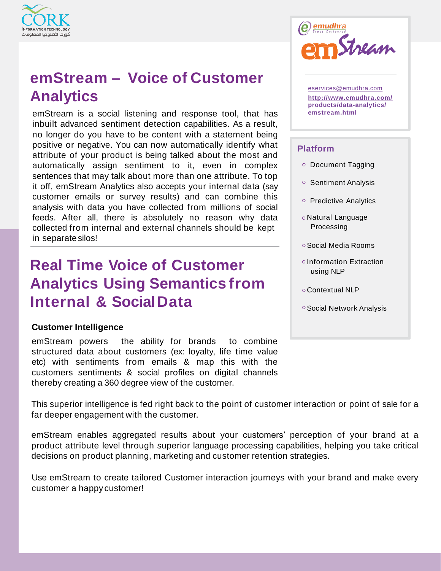

# **emStream – Voice of Customer Analytics**

emStream is a social listening and response tool, that has inbuilt advanced sentiment detection capabilities. As a result, no longer do you have to be content with a statement being positive or negative. You can now automatically identify what attribute of your product is being talked about the most and automatically assign sentiment to it, even in complex sentences that may talk about more than one attribute. To top it off, emStream Analytics also accepts your internal data (say customer emails or survey results) and can combine this analysis with data you have collected from millions of social feeds. After all, there is absolutely no reason why data collected from internal and external channels should be kept in separatesilos!

# **Real Time Voice of Customer Analytics Using Semantics from Internal & SocialData**

### **Customer Intelligence**

emStream powers the ability for brands to combine structured data about customers (ex: loyalty, life time value etc) with sentiments from emails & map this with the customers sentiments & social profiles on digital channels thereby creating a 360 degree view of the customer.



[eservices@emudhra.com](mailto:eservices@emudhra.com) **<http://www.emudhra.com/> products/data-analytics/ emstream.html**

### **Platform**

- o Document Tagging
- o Sentiment Analysis
- o Predictive Analytics
- Natural Language Processing
- Social Media Rooms
- Information Extraction using NLP
- Contextual NLP
- Social Network Analysis

This superior intelligence is fed right back to the point of customer interaction or point of sale for a far deeper engagement with the customer.

emStream enables aggregated results about your customers' perception of your brand at a product attribute level through superior language processing capabilities, helping you take critical decisions on product planning, marketing and customer retention strategies.

Use emStream to create tailored Customer interaction journeys with your brand and make every customer a happy customer!